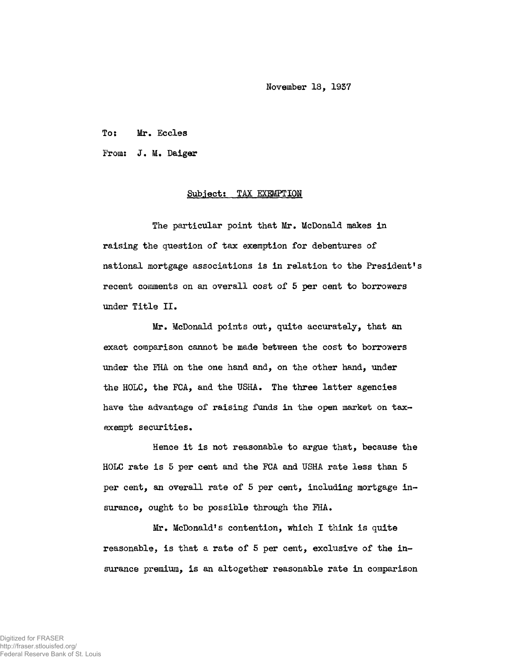November 18, 1937

To: Mr. Eccles

From: J. M. Daiger

## Subject: TAX EXEMPTION

The particular point that Mr. McDonald makes in raising the question of tax exemption for debentures of national mortgage associations is in relation to the President's recent comments on an overall cost of 5 per cent to borrowers under Title II.

Mr. McDonald points out, quite accurately, that an exact comparison cannot be made between the cost to borrowers under the FHA on the one hand and, on the other hand, under the HOLC, the FCA, and the USHA. The three latter agencies have the advantage of raising funds in the open market on taxexempt securities.

Hence it is not reasonable to argue that, because the HOLC rate is 5 per cent and the FCA and USHA rate less than 5 per cent, an overall rate of 5 per cent, including mortgage insurance, ought to be possible through the FHA.

Mr. McDonald's contention, which I think is quite reasonable, is that a rate of 5 per cent, exclusive of the insurance premium, is an altogether reasonable rate in comparison